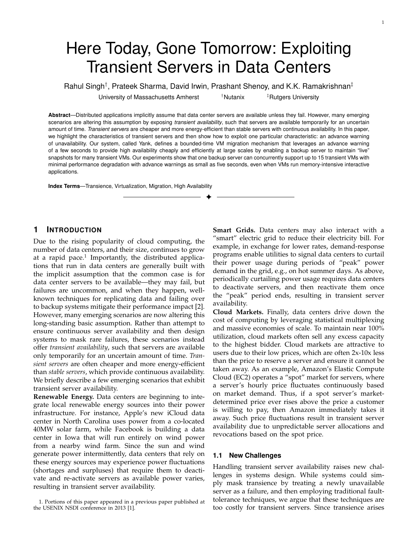# Here Today, Gone Tomorrow: Exploiting Transient Servers in Data Centers

Rahul Singh*†*, Prateek Sharma, David Irwin, Prashant Shenoy, and K.K. Ramakrishnan*‡*

University of Massachusetts Amherst <sup>†</sup>Nutanix <sup>‡</sup>Rutgers University

**Abstract**—Distributed applications implicitly assume that data center servers are available unless they fail. However, many emerging scenarios are altering this assumption by exposing *transient availability*, such that servers are available temporarily for an uncertain amount of time. *Transient servers* are cheaper and more energy-efficient than stable servers with continuous availability. In this paper, we highlight the characteristics of transient servers and then show how to exploit one particular characteristic: an advance warning of unavailability. Our system, called Yank, defines a bounded-time VM migration mechanism that leverages an advance warning of a few seconds to provide high availability cheaply and efficiently at large scales by enabling a backup server to maintain "live" snapshots for many transient VMs. Our experiments show that one backup server can concurrently support up to 15 transient VMs with minimal performance degradation with advance warnings as small as five seconds, even when VMs run memory-intensive interactive applications.

 $\blacklozenge$ 

**Index Terms**—Transience, Virtualization, Migration, High Availability

# **1 INTRODUCTION**

Due to the rising popularity of cloud computing, the number of data centers, and their size, continues to grow at a rapid pace.<sup>1</sup> Importantly, the distributed applications that run in data centers are generally built with the implicit assumption that the common case is for data center servers to be available—they may fail, but failures are uncommon, and when they happen, wellknown techniques for replicating data and failing over to backup systems mitigate their performance impact [2]. However, many emerging scenarios are now altering this long-standing basic assumption. Rather than attempt to ensure continuous server availability and then design systems to mask rare failures, these scenarios instead offer *transient availability*, such that servers are available only temporarily for an uncertain amount of time. *Transient servers* are often cheaper and more energy-efficient than *stable servers*, which provide continuous availability. We briefly describe a few emerging scenarios that exhibit transient server availability.

**Renewable Energy.** Data centers are beginning to integrate local renewable energy sources into their power infrastructure. For instance, Apple's new iCloud data center in North Carolina uses power from a co-located 40MW solar farm, while Facebook is building a data center in Iowa that will run entirely on wind power from a nearby wind farm. Since the sun and wind generate power intermittently, data centers that rely on these energy sources may experience power fluctuations (shortages and surpluses) that require them to deactivate and re-activate servers as available power varies, resulting in transient server availability.

**Smart Grids.** Data centers may also interact with a "smart" electric grid to reduce their electricity bill. For example, in exchange for lower rates, demand-response programs enable utilities to signal data centers to curtail their power usage during periods of "peak" power demand in the grid, e.g., on hot summer days. As above, periodically curtailing power usage requires data centers to deactivate servers, and then reactivate them once the "peak" period ends, resulting in transient server availability.

**Cloud Markets.** Finally, data centers drive down the cost of computing by leveraging statistical multiplexing and massive economies of scale. To maintain near 100% utilization, cloud markets often sell any excess capacity to the highest bidder. Cloud markets are attractive to users due to their low prices, which are often 2x-10x less than the price to reserve a server and ensure it cannot be taken away. As an example, Amazon's Elastic Compute Cloud (EC2) operates a "spot" market for servers, where a server's hourly price fluctuates continuously based on market demand. Thus, if a spot server's marketdetermined price ever rises above the price a customer is willing to pay, then Amazon immediately takes it away. Such price fluctuations result in transient server availability due to unpredictable server allocations and revocations based on the spot price.

#### **1.1 New Challenges**

Handling transient server availability raises new challenges in systems design. While systems could simply mask transience by treating a newly unavailable server as a failure, and then employing traditional faulttolerance techniques, we argue that these techniques are too costly for transient servers. Since transience arises

<sup>1.</sup> Portions of this paper appeared in a previous paper published at the USENIX NSDI conference in 2013 [1].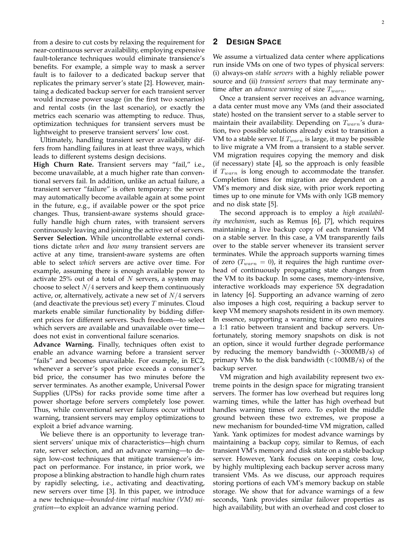from a desire to cut costs by relaxing the requirement for near-continuous server availability, employing expensive fault-tolerance techniques would eliminate transience's benefits. For example, a simple way to mask a server fault is to failover to a dedicated backup server that replicates the primary server's state [2]. However, maintaing a dedicated backup server for each transient server would increase power usage (in the first two scenarios) and rental costs (in the last scenario), or exactly the metrics each scenario was attempting to reduce. Thus, optimization techniques for transient servers must be lightweight to preserve transient servers' low cost.

Ultimately, handling transient server availability differs from handling failures in at least three ways, which leads to different systems design decisions.

**High Churn Rate.** Transient servers may "fail," i.e., become unavailable, at a much higher rate than conventional servers fail. In addition, unlike an actual failure, a transient server "failure" is often temporary: the server may automatically become available again at some point in the future, e.g., if available power or the spot price changes. Thus, transient-aware systems should gracefully handle high churn rates, with transient servers continuously leaving and joining the active set of servers. **Server Selection.** While uncontrollable external conditions dictate *when* and *how many* transient servers are active at any time, transient-aware systems are often able to select *which* servers are active over time. For example, assuming there is enough available power to activate 25% out of a total of *N* servers, a system may choose to select *N/*4 servers and keep them continuously active, or, alternatively, activate a new set of *N/*4 servers (and deactivate the previous set) every *T* minutes. Cloud markets enable similar functionality by bidding different prices for different servers. Such freedom—to select which servers are available and unavailable over time does not exist in conventional failure scenarios.

**Advance Warning.** Finally, techniques often exist to enable an advance warning before a transient server "fails" and becomes unavailable. For example, in EC2, whenever a server's spot price exceeds a consumer's bid price, the consumer has two minutes before the server terminates. As another example, Universal Power Supplies (UPSs) for racks provide some time after a power shortage before servers completely lose power. Thus, while conventional server failures occur without warning, transient servers may employ optimizations to exploit a brief advance warning.

We believe there is an opportunity to leverage transient servers' unique mix of characteristics—high churn rate, server selection, and an advance warning—to design low-cost techniques that mitigate transience's impact on performance. For instance, in prior work, we propose a blinking abstraction to handle high churn rates by rapidly selecting, i.e., activating and deactivating, new servers over time [3]. In this paper, we introduce a new technique—*bounded-time virtual machine (VM) migration*—to exploit an advance warning period.

## **2 DESIGN SPACE**

We assume a virtualized data center where applications run inside VMs on one of two types of physical servers: (i) always-on *stable servers* with a highly reliable power source and (ii) *transient servers* that may terminate anytime after an *advance warning* of size *Twarn*.

Once a transient server receives an advance warning, a data center must move any VMs (and their associated state) hosted on the transient server to a stable server to maintain their availability. Depending on *Twarn*'s duration, two possible solutions already exist to transition a VM to a stable server. If *Twarn* is large, it may be possible to live migrate a VM from a transient to a stable server. VM migration requires copying the memory and disk (if necessary) state [4], so the approach is only feasible if *Twarn* is long enough to accommodate the transfer. Completion times for migration are dependent on a VM's memory and disk size, with prior work reporting times up to one minute for VMs with only 1GB memory and no disk state [5].

The second approach is to employ a *high availability mechanism*, such as Remus [6], [7], which requires maintaining a live backup copy of each transient VM on a stable server. In this case, a VM transparently fails over to the stable server whenever its transient server terminates. While the approach supports warning times of zero  $(T_{warn} = 0)$ , it requires the high runtime overhead of continuously propagating state changes from the VM to its backup. In some cases, memory-intensive, interactive workloads may experience 5X degradation in latency [6]. Supporting an advance warning of zero also imposes a high cost, requiring a backup server to keep VM memory snapshots resident in its own memory. In essence, supporting a warning time of zero requires a 1:1 ratio between transient and backup servers. Unfortunately, storing memory snapshots on disk is not an option, since it would further degrade performance by reducing the memory bandwidth  $(\sim 3000MB/s)$  of primary VMs to the disk bandwidth (*<*100MB/s) of the backup server.

VM migration and high availability represent two extreme points in the design space for migrating transient servers. The former has low overhead but requires long warning times, while the latter has high overhead but handles warning times of zero. To exploit the middle ground between these two extremes, we propose a new mechanism for bounded-time VM migration, called Yank. Yank optimizes for modest advance warnings by maintaining a backup copy, similar to Remus, of each transient VM's memory and disk state on a stable backup server. However, Yank focuses on keeping costs low, by highly multiplexing each backup server across many transient VMs. As we discuss, our approach requires storing portions of each VM's memory backup on stable storage. We show that for advance warnings of a few seconds, Yank provides similar failover properties as high availability, but with an overhead and cost closer to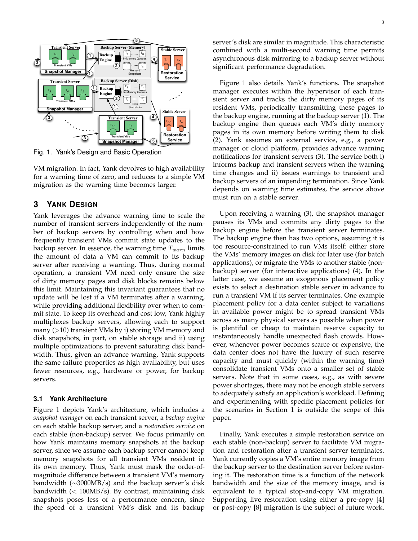

Fig. 1. Yank's Design and Basic Operation

VM migration. In fact, Yank devolves to high availability for a warning time of zero, and reduces to a simple VM migration as the warning time becomes larger.

#### **3 YANK DESIGN**

Yank leverages the advance warning time to scale the number of transient servers independently of the number of backup servers by controlling when and how frequently transient VMs commit state updates to the backup server. In essence, the warning time *Twarn* limits the amount of data a VM can commit to its backup server after receiving a warning. Thus, during normal operation, a transient VM need only ensure the size of dirty memory pages and disk blocks remains below this limit. Maintaining this invariant guarantees that no update will be lost if a VM terminates after a warning, while providing additional flexibility over when to commit state. To keep its overhead and cost low, Yank highly multiplexes backup servers, allowing each to support many (*>*10) transient VMs by i) storing VM memory and disk snapshots, in part, on stable storage and ii) using multiple optimizations to prevent saturating disk bandwidth. Thus, given an advance warning, Yank supports the same failure properties as high availability, but uses fewer resources, e.g., hardware or power, for backup servers.

#### **3.1 Yank Architecture**

Figure 1 depicts Yank's architecture, which includes a *snapshot manager* on each transient server, a *backup engine* on each stable backup server, and a *restoration service* on each stable (non-backup) server. We focus primarily on how Yank maintains memory snapshots at the backup server, since we assume each backup server cannot keep memory snapshots for all transient VMs resident in its own memory. Thus, Yank must mask the order-ofmagnitude difference between a transient VM's memory bandwidth  $(\sim 3000 MB/s)$  and the backup server's disk bandwidth (*<* 100MB/s). By contrast, maintaining disk snapshots poses less of a performance concern, since the speed of a transient VM's disk and its backup

server's disk are similar in magnitude. This characteristic combined with a multi-second warning time permits asynchronous disk mirroring to a backup server without significant performance degradation.

Figure 1 also details Yank's functions. The snapshot manager executes within the hypervisor of each transient server and tracks the dirty memory pages of its resident VMs, periodically transmitting these pages to the backup engine, running at the backup server (1). The backup engine then queues each VM's dirty memory pages in its own memory before writing them to disk (2). Yank assumes an external service, e.g., a power manager or cloud platform, provides advance warning notifications for transient servers (3). The service both i) informs backup and transient servers when the warning time changes and ii) issues warnings to transient and backup servers of an impending termination. Since Yank depends on warning time estimates, the service above must run on a stable server.

Upon receiving a warning (3), the snapshot manager pauses its VMs and commits any dirty pages to the backup engine before the transient server terminates. The backup engine then has two options, assuming it is too resource-constrained to run VMs itself: either store the VMs' memory images on disk for later use (for batch applications), or migrate the VMs to another stable (nonbackup) server (for interactive applications) (4). In the latter case, we assume an exogenous placement policy exists to select a destination stable server in advance to run a transient VM if its server terminates. One example placement policy for a data center subject to variations in available power might be to spread transient VMs across as many physical servers as possible when power is plentiful or cheap to maintain reserve capacity to instantaneously handle unexpected flash crowds. However, whenever power becomes scarce or expensive, the data center does not have the luxury of such reserve capacity and must quickly (within the warning time) consolidate transient VMs onto a smaller set of stable servers. Note that in some cases, e.g., as with severe power shortages, there may not be enough stable servers to adequately satisfy an application's workload. Defining and experimenting with specific placement policies for the scenarios in Section 1 is outside the scope of this paper.

Finally, Yank executes a simple restoration service on each stable (non-backup) server to facilitate VM migration and restoration after a transient server terminates. Yank currently copies a VM's entire memory image from the backup server to the destination server before restoring it. The restoration time is a function of the network bandwidth and the size of the memory image, and is equivalent to a typical stop-and-copy VM migration. Supporting live restoration using either a pre-copy [4] or post-copy [8] migration is the subject of future work.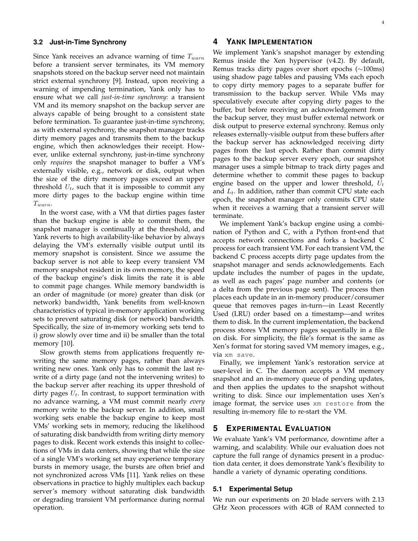#### **3.2 Just-in-Time Synchrony**

Since Yank receives an advance warning of time *Twarn* before a transient server terminates, its VM memory snapshots stored on the backup server need not maintain strict external synchrony [9]. Instead, upon receiving a warning of impending termination, Yank only has to ensure what we call *just-in-time synchrony*: a transient VM and its memory snapshot on the backup server are always capable of being brought to a consistent state before termination. To guarantee just-in-time synchrony, as with external synchrony, the snapshot manager tracks dirty memory pages and transmits them to the backup engine, which then acknowledges their receipt. However, unlike external synchrony, just-in-time synchrony only *requires* the snapshot manager to buffer a VM's externally visible, e.g., network or disk, output when the size of the dirty memory pages exceed an upper threshold  $U_t$ , such that it is impossible to commit any more dirty pages to the backup engine within time *Twarn*.

In the worst case, with a VM that dirties pages faster than the backup engine is able to commit them, the snapshot manager is continually at the threshold, and Yank reverts to high availability-like behavior by always delaying the VM's externally visible output until its memory snapshot is consistent. Since we assume the backup server is not able to keep every transient VM memory snapshot resident in its own memory, the speed of the backup engine's disk limits the rate it is able to commit page changes. While memory bandwidth is an order of magnitude (or more) greater than disk (or network) bandwidth, Yank benefits from well-known characteristics of typical in-memory application working sets to prevent saturating disk (or network) bandwidth. Specifically, the size of in-memory working sets tend to i) grow slowly over time and ii) be smaller than the total memory [10].

Slow growth stems from applications frequently rewriting the same memory pages, rather than always writing new ones. Yank only has to commit the last rewrite of a dirty page (and not the intervening writes) to the backup server after reaching its upper threshold of dirty pages *Ut*. In contrast, to support termination with no advance warning, a VM must commit nearly *every* memory write to the backup server. In addition, small working sets enable the backup engine to keep most VMs' working sets in memory, reducing the likelihood of saturating disk bandwidth from writing dirty memory pages to disk. Recent work extends this insight to collections of VMs in data centers, showing that while the size of a single VM's working set may experience temporary bursts in memory usage, the bursts are often brief and not synchronized across VMs [11]. Yank relies on these observations in practice to highly multiplex each backup server's memory without saturating disk bandwidth or degrading transient VM performance during normal operation.

#### 4

#### **4 YANK IMPLEMENTATION**

We implement Yank's snapshot manager by extending Remus inside the Xen hypervisor (v4.2). By default, Remus tracks dirty pages over short epochs  $(\sim 100 \text{ms})$ using shadow page tables and pausing VMs each epoch to copy dirty memory pages to a separate buffer for transmission to the backup server. While VMs may speculatively execute after copying dirty pages to the buffer, but before receiving an acknowledgement from the backup server, they must buffer external network or disk output to preserve external synchrony. Remus only releases externally-visible output from these buffers after the backup server has acknowledged receiving dirty pages from the last epoch. Rather than commit dirty pages to the backup server every epoch, our snapshot manager uses a simple bitmap to track dirty pages and determine whether to commit these pages to backup engine based on the upper and lower threshold, *U<sup>t</sup>* and *Lt*. In addition, rather than commit CPU state each epoch, the snapshot manager only commits CPU state when it receives a warning that a transient server will terminate.

We implement Yank's backup engine using a combination of Python and C, with a Python front-end that accepts network connections and forks a backend C process for each transient VM. For each transient VM, the backend C process accepts dirty page updates from the snapshot manager and sends acknowledgements. Each update includes the number of pages in the update, as well as each pages' page number and contents (or a delta from the previous page sent). The process then places each update in an in-memory producer/consumer queue that removes pages in-turn—in Least Recently Used (LRU) order based on a timestamp—and writes them to disk. In the current implementation, the backend process stores VM memory pages sequentially in a file on disk. For simplicity, the file's format is the same as Xen's format for storing saved VM memory images, e.g., via xm save.

Finally, we implement Yank's restoration service at user-level in C. The daemon accepts a VM memory snapshot and an in-memory queue of pending updates, and then applies the updates to the snapshot without writing to disk. Since our implementation uses Xen's image format, the service uses xm restore from the resulting in-memory file to re-start the VM.

#### **5 EXPERIMENTAL EVALUATION**

We evaluate Yank's VM performance, downtime after a warning, and scalability. While our evaluation does not capture the full range of dynamics present in a production data center, it does demonstrate Yank's flexibility to handle a variety of dynamic operating conditions.

#### **5.1 Experimental Setup**

We run our experiments on 20 blade servers with 2.13 GHz Xeon processors with 4GB of RAM connected to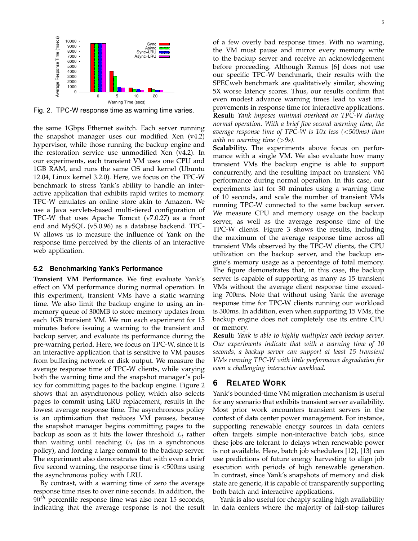

Fig. 2. TPC-W response time as warning time varies.

the same 1Gbps Ethernet switch. Each server running the snapshot manager uses our modified Xen (v4.2) hypervisor, while those running the backup engine and the restoration service use unmodified Xen (v4.2). In our experiments, each transient VM uses one CPU and 1GB RAM, and runs the same OS and kernel (Ubuntu 12.04, Linux kernel 3.2.0). Here, we focus on the TPC-W benchmark to stress Yank's ability to handle an interactive application that exhibits rapid writes to memory. TPC-W emulates an online store akin to Amazon. We use a Java servlets-based multi-tiered configuration of TPC-W that uses Apache Tomcat (v7.0.27) as a front end and MySQL (v5.0.96) as a database backend. TPC-W allows us to measure the influence of Yank on the response time perceived by the clients of an interactive web application.

#### **5.2 Benchmarking Yank's Performance**

**Transient VM Performance.** We first evaluate Yank's effect on VM performance during normal operation. In this experiment, transient VMs have a static warning time. We also limit the backup engine to using an inmemory queue of 300MB to store memory updates from each 1GB transient VM. We run each experiment for 15 minutes before issuing a warning to the transient and backup server, and evaluate its performance during the pre-warning period. Here, we focus on TPC-W, since it is an interactive application that is sensitive to VM pauses from buffering network or disk output. We measure the average response time of TPC-W clients, while varying both the warning time and the snapshot manager's policy for committing pages to the backup engine. Figure 2 shows that an asynchronous policy, which also selects pages to commit using LRU replacement, results in the lowest average response time. The asynchronous policy is an optimization that reduces VM pauses, because the snapshot manager begins committing pages to the backup as soon as it hits the lower threshold *L<sup>t</sup>* rather than waiting until reaching  $U_t$  (as in a synchronous policy), and forcing a large commit to the backup server. The experiment also demonstrates that with even a brief five second warning, the response time is *<*500ms using the asynchronous policy with LRU.

By contrast, with a warning time of zero the average response time rises to over nine seconds. In addition, the 90*th* percentile response time was also near 15 seconds, indicating that the average response is not the result 5

the VM must pause and mirror every memory write to the backup server and receive an acknowledgement before proceeding. Although Remus [6] does not use our specific TPC-W benchmark, their results with the SPECweb benchmark are qualitatively similar, showing 5X worse latency scores. Thus, our results confirm that even modest advance warning times lead to vast improvements in response time for interactive applications. **Result:** *Yank imposes minimal overhead on TPC-W during normal operation. With a brief five second warning time, the average response time of TPC-W is 10x less (<500ms) than with no warning time (>9s).*

**Scalability.** The experiments above focus on performance with a single VM. We also evaluate how many transient VMs the backup engine is able to support concurrently, and the resulting impact on transient VM performance during normal operation. In this case, our experiments last for 30 minutes using a warning time of 10 seconds, and scale the number of transient VMs running TPC-W connected to the same backup server. We measure CPU and memory usage on the backup server, as well as the average response time of the TPC-W clients. Figure 3 shows the results, including the maximum of the average response time across all transient VMs observed by the TPC-W clients, the CPU utilization on the backup server, and the backup engine's memory usage as a percentage of total memory. The figure demonstrates that, in this case, the backup server is capable of supporting as many as 15 transient VMs without the average client response time exceeding 700ms. Note that without using Yank the average response time for TPC-W clients running our workload is 300ms. In addition, even when supporting 15 VMs, the backup engine does not completely use its entire CPU or memory.

**Result:** *Yank is able to highly multiplex each backup server. Our experiments indicate that with a warning time of 10 seconds, a backup server can support at least 15 transient VMs running TPC-W with little performance degradation for even a challenging interactive workload.*

### **6 RELATED WORK**

Yank's bounded-time VM migration mechanism is useful for any scenario that exhibits transient server availability. Most prior work encounters transient servers in the context of data center power management. For instance, supporting renewable energy sources in data centers often targets simple non-interactive batch jobs, since these jobs are tolerant to delays when renewable power is not available. Here, batch job schedulers [12], [13] can use predictions of future energy harvesting to align job execution with periods of high renewable generation. In contrast, since Yank's snapshots of memory and disk state are generic, it is capable of transparently supporting both batch and interactive applications.

Yank is also useful for cheaply scaling high availability in data centers where the majority of fail-stop failures